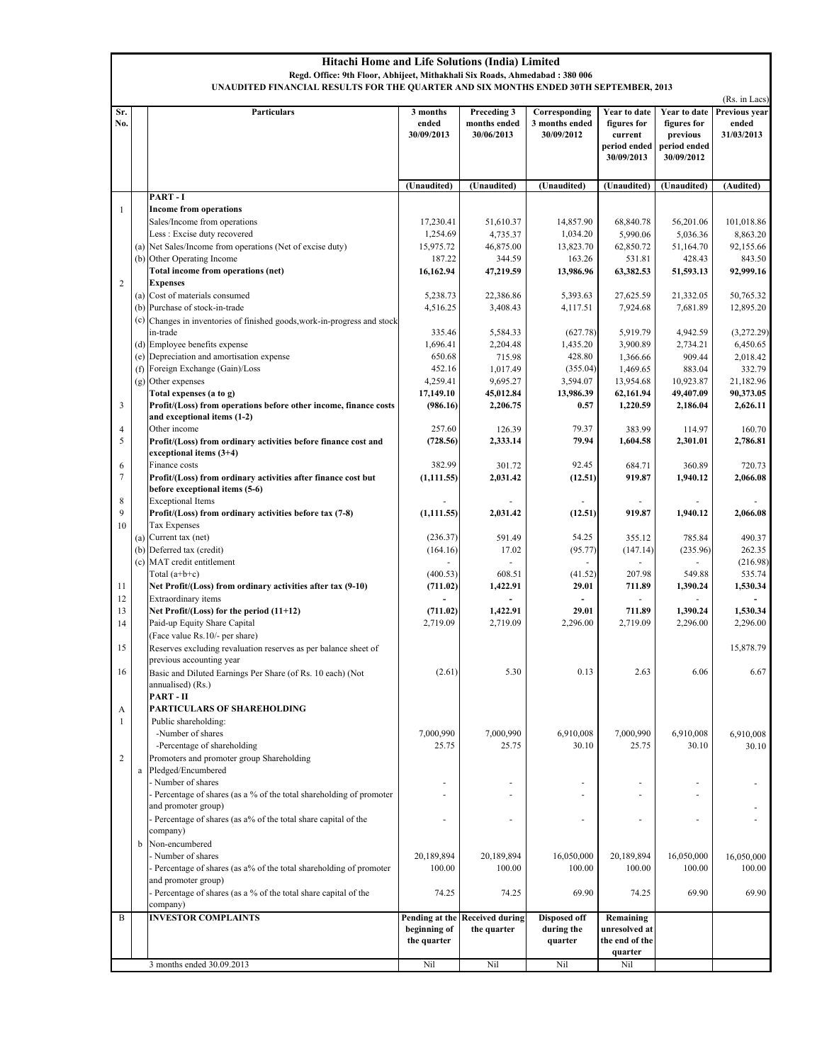|                         | <b>Hitachi Home and Life Solutions (India) Limited</b><br>Regd. Office: 9th Floor, Abhijeet, Mithakhali Six Roads, Ahmedabad: 380 006<br>UNAUDITED FINANCIAL RESULTS FOR THE QUARTER AND SIX MONTHS ENDED 30TH SEPTEMBER, 2013 |                                                                                                   |                                               |                                           |                                               |                                                                      |                                                                       |                                                       |
|-------------------------|--------------------------------------------------------------------------------------------------------------------------------------------------------------------------------------------------------------------------------|---------------------------------------------------------------------------------------------------|-----------------------------------------------|-------------------------------------------|-----------------------------------------------|----------------------------------------------------------------------|-----------------------------------------------------------------------|-------------------------------------------------------|
| Sr.<br>No.              |                                                                                                                                                                                                                                | Particulars                                                                                       | 3 months<br>ended<br>30/09/2013               | Preceding 3<br>months ended<br>30/06/2013 | Corresponding<br>3 months ended<br>30/09/2012 | Year to date<br>figures for<br>current<br>period ended<br>30/09/2013 | Year to date<br>figures for<br>previous<br>period ended<br>30/09/2012 | (Rs. in Lacs)<br>Previous year<br>ended<br>31/03/2013 |
|                         |                                                                                                                                                                                                                                |                                                                                                   | (Unaudited)                                   | (Unaudited)                               | (Unaudited)                                   | (Unaudited)                                                          | (Unaudited)                                                           | (Audited)                                             |
|                         |                                                                                                                                                                                                                                | PART-I                                                                                            |                                               |                                           |                                               |                                                                      |                                                                       |                                                       |
| 1                       |                                                                                                                                                                                                                                | <b>Income from operations</b><br>Sales/Income from operations                                     | 17,230.41                                     | 51,610.37                                 | 14,857.90                                     | 68,840.78                                                            | 56,201.06                                                             | 101,018.86                                            |
|                         |                                                                                                                                                                                                                                | Less: Excise duty recovered                                                                       | 1,254.69                                      | 4,735.37                                  | 1,034.20                                      | 5,990.06                                                             | 5,036.36                                                              | 8,863.20                                              |
|                         | (a)                                                                                                                                                                                                                            | Net Sales/Income from operations (Net of excise duty)                                             | 15,975.72                                     | 46,875.00                                 | 13,823.70                                     | 62,850.72                                                            | 51,164.70                                                             | 92,155.66                                             |
|                         |                                                                                                                                                                                                                                | (b) Other Operating Income                                                                        | 187.22                                        | 344.59                                    | 163.26                                        | 531.81                                                               | 428.43                                                                | 843.50                                                |
|                         |                                                                                                                                                                                                                                | Total income from operations (net)                                                                | 16,162.94                                     | 47,219.59                                 | 13,986.96                                     | 63,382.53                                                            | 51,593.13                                                             | 92,999.16                                             |
| $\overline{2}$          |                                                                                                                                                                                                                                | <b>Expenses</b><br>(a) Cost of materials consumed                                                 | 5,238.73                                      | 22,386.86                                 | 5,393.63                                      | 27,625.59                                                            | 21,332.05                                                             | 50,765.32                                             |
|                         | (b)                                                                                                                                                                                                                            | Purchase of stock-in-trade                                                                        | 4,516.25                                      | 3,408.43                                  | 4,117.51                                      | 7,924.68                                                             | 7,681.89                                                              | 12,895.20                                             |
|                         | (c)                                                                                                                                                                                                                            | Changes in inventories of finished goods, work-in-progress and stock                              |                                               |                                           |                                               |                                                                      |                                                                       |                                                       |
|                         |                                                                                                                                                                                                                                | in-trade                                                                                          | 335.46                                        | 5,584.33                                  | (627.78)                                      | 5,919.79                                                             | 4,942.59                                                              | (3,272,29)                                            |
|                         | (d)                                                                                                                                                                                                                            | Employee benefits expense                                                                         | 1,696.41                                      | 2,204.48                                  | 1,435.20                                      | 3,900.89                                                             | 2,734.21                                                              | 6,450.65                                              |
|                         | (e)<br>(f)                                                                                                                                                                                                                     | Depreciation and amortisation expense<br>Foreign Exchange (Gain)/Loss                             | 650.68<br>452.16                              | 715.98<br>1,017.49                        | 428.80<br>(355.04)                            | 1,366.66<br>1,469.65                                                 | 909.44<br>883.04                                                      | 2,018.42<br>332.79                                    |
|                         | (g)                                                                                                                                                                                                                            | Other expenses                                                                                    | 4,259.41                                      | 9,695.27                                  | 3,594.07                                      | 13,954.68                                                            | 10,923.87                                                             | 21,182.96                                             |
|                         |                                                                                                                                                                                                                                | Total expenses (a to g)                                                                           | 17,149.10                                     | 45,012.84                                 | 13,986.39                                     | 62,161.94                                                            | 49,407.09                                                             | 90,373.05                                             |
| $\overline{\mathbf{3}}$ |                                                                                                                                                                                                                                | Profit/(Loss) from operations before other income, finance costs<br>and exceptional items (1-2)   | (986.16)                                      | 2,206.75                                  | 0.57                                          | 1,220.59                                                             | 2,186.04                                                              | 2,626.11                                              |
| $\overline{4}$          |                                                                                                                                                                                                                                | Other income                                                                                      | 257.60                                        | 126.39                                    | 79.37                                         | 383.99                                                               | 114.97                                                                | 160.70                                                |
| 5                       |                                                                                                                                                                                                                                | Profit/(Loss) from ordinary activities before finance cost and<br>exceptional items $(3+4)$       | (728.56)                                      | 2,333.14                                  | 79.94                                         | 1,604.58                                                             | 2,301.01                                                              | 2,786.81                                              |
| 6                       |                                                                                                                                                                                                                                | Finance costs                                                                                     | 382.99                                        | 301.72                                    | 92.45                                         | 684.71                                                               | 360.89                                                                | 720.73                                                |
| 7                       |                                                                                                                                                                                                                                | Profit/(Loss) from ordinary activities after finance cost but<br>before exceptional items (5-6)   | (1,111.55)                                    | 2,031.42                                  | (12.51)                                       | 919.87                                                               | 1,940.12                                                              | 2,066.08                                              |
| 8<br>9<br>10            |                                                                                                                                                                                                                                | <b>Exceptional Items</b><br>Profit/(Loss) from ordinary activities before tax (7-8)               | (1,111.55)                                    | 2,031.42                                  | (12.51)                                       | 919.87                                                               | 1,940.12                                                              | 2,066.08                                              |
|                         |                                                                                                                                                                                                                                | Tax Expenses<br>(a) Current tax (net)                                                             | (236.37)                                      | 591.49                                    | 54.25                                         | 355.12                                                               | 785.84                                                                | 490.37                                                |
|                         | (b)                                                                                                                                                                                                                            | Deferred tax (credit)                                                                             | (164.16)                                      | 17.02                                     | (95.77)                                       | (147.14)                                                             | (235.96)                                                              | 262.35                                                |
|                         | (c)                                                                                                                                                                                                                            | MAT credit entitlement                                                                            |                                               |                                           |                                               |                                                                      |                                                                       | (216.98)                                              |
|                         |                                                                                                                                                                                                                                | Total $(a+b+c)$                                                                                   | (400.53)                                      | 608.51                                    | (41.52)                                       | 207.98                                                               | 549.88                                                                | 535.74                                                |
| 11<br>12                |                                                                                                                                                                                                                                | Net Profit/(Loss) from ordinary activities after tax (9-10)<br>Extraordinary items                | (711.02)                                      | 1,422.91                                  | 29.01                                         | 711.89                                                               | 1,390.24                                                              | 1,530.34                                              |
| 13                      |                                                                                                                                                                                                                                | Net Profit/(Loss) for the period (11+12)                                                          | (711.02)                                      | 1,422.91                                  | 29.01                                         | 711.89                                                               | 1,390.24                                                              | 1,530.34                                              |
| 14                      |                                                                                                                                                                                                                                | Paid-up Equity Share Capital                                                                      | 2,719.09                                      | 2,719.09                                  | 2,296.00                                      | 2,719.09                                                             | 2,296.00                                                              | 2,296.00                                              |
| 15                      |                                                                                                                                                                                                                                | (Face value Rs.10/- per share)<br>Reserves excluding revaluation reserves as per balance sheet of |                                               |                                           |                                               |                                                                      |                                                                       | 15,878.79                                             |
|                         |                                                                                                                                                                                                                                | previous accounting year                                                                          |                                               |                                           |                                               |                                                                      |                                                                       |                                                       |
| 16                      |                                                                                                                                                                                                                                | Basic and Diluted Earnings Per Share (of Rs. 10 each) (Not<br>annualised) (Rs.)                   | (2.61)                                        | 5.30                                      | 0.13                                          | 2.63                                                                 | 6.06                                                                  | 6.67                                                  |
| A                       |                                                                                                                                                                                                                                | PART-II<br>PARTICULARS OF SHAREHOLDING                                                            |                                               |                                           |                                               |                                                                      |                                                                       |                                                       |
| 1                       |                                                                                                                                                                                                                                | Public shareholding:                                                                              |                                               |                                           |                                               |                                                                      |                                                                       |                                                       |
|                         |                                                                                                                                                                                                                                | -Number of shares                                                                                 | 7,000,990                                     | 7,000,990                                 | 6,910,008                                     | 7,000,990                                                            | 6,910,008                                                             | 6,910,008                                             |
|                         |                                                                                                                                                                                                                                | -Percentage of shareholding                                                                       | 25.75                                         | 25.75                                     | 30.10                                         | 25.75                                                                | 30.10                                                                 | 30.10                                                 |
| $\overline{2}$          | $\rm{a}$                                                                                                                                                                                                                       | Promoters and promoter group Shareholding<br>Pledged/Encumbered                                   |                                               |                                           |                                               |                                                                      |                                                                       |                                                       |
|                         |                                                                                                                                                                                                                                | - Number of shares<br>Percentage of shares (as a % of the total shareholding of promoter          |                                               |                                           |                                               |                                                                      |                                                                       |                                                       |
|                         |                                                                                                                                                                                                                                | and promoter group)                                                                               |                                               |                                           |                                               |                                                                      |                                                                       |                                                       |
|                         |                                                                                                                                                                                                                                | Percentage of shares (as a% of the total share capital of the<br>company)                         | ÷.                                            | ä,                                        | $\overline{a}$                                | ÷.                                                                   | $\overline{a}$                                                        |                                                       |
|                         | b                                                                                                                                                                                                                              | Non-encumbered                                                                                    |                                               |                                           |                                               |                                                                      |                                                                       |                                                       |
|                         |                                                                                                                                                                                                                                | Number of shares                                                                                  | 20,189,894                                    | 20,189,894                                | 16,050,000                                    | 20,189,894                                                           | 16,050,000                                                            | 16,050,000                                            |
|                         |                                                                                                                                                                                                                                | Percentage of shares (as a% of the total shareholding of promoter<br>and promoter group)          | 100.00                                        | 100.00                                    | 100.00                                        | 100.00                                                               | 100.00                                                                | 100.00                                                |
|                         |                                                                                                                                                                                                                                | Percentage of shares (as a % of the total share capital of the<br>company)                        | 74.25                                         | 74.25                                     | 69.90                                         | 74.25                                                                | 69.90                                                                 | 69.90                                                 |
| B                       |                                                                                                                                                                                                                                | <b>INVESTOR COMPLAINTS</b>                                                                        | Pending at the<br>beginning of<br>the quarter | <b>Received during</b><br>the quarter     | Disposed off<br>during the<br>quarter         | Remaining<br>unresolved at<br>the end of the                         |                                                                       |                                                       |
|                         |                                                                                                                                                                                                                                | 3 months ended 30.09.2013                                                                         | Nil                                           | Nil                                       | Nil                                           | quarter<br>Nil                                                       |                                                                       |                                                       |